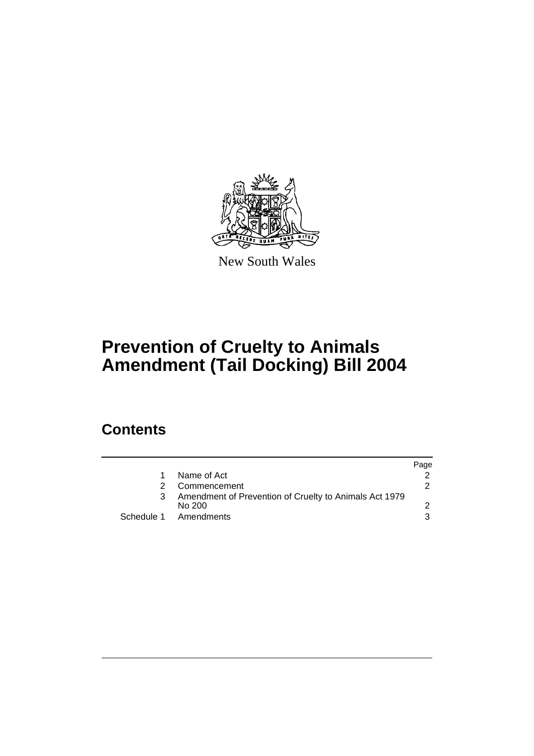

New South Wales

# **Prevention of Cruelty to Animals Amendment (Tail Docking) Bill 2004**

## **Contents**

|                                                                  | Page |
|------------------------------------------------------------------|------|
| Name of Act                                                      |      |
| Commencement                                                     | 2    |
| Amendment of Prevention of Cruelty to Animals Act 1979<br>No 200 |      |
| Schedule 1 Amendments                                            | ર    |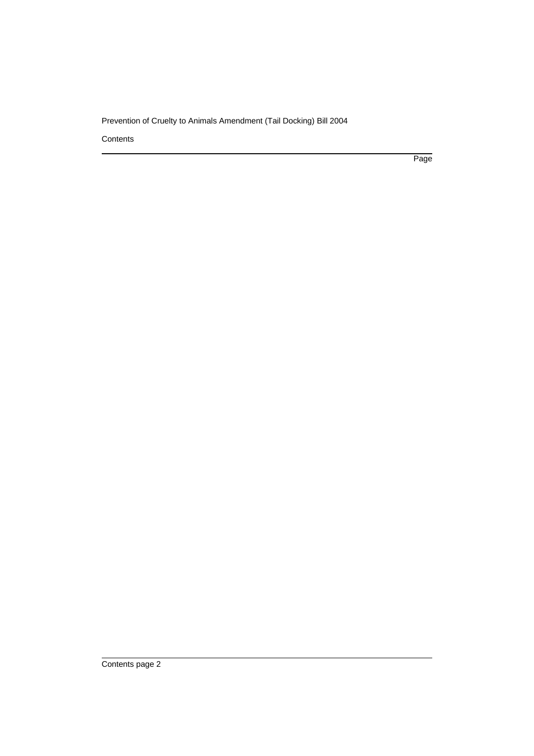### Prevention of Cruelty to Animals Amendment (Tail Docking) Bill 2004

**Contents** 

Page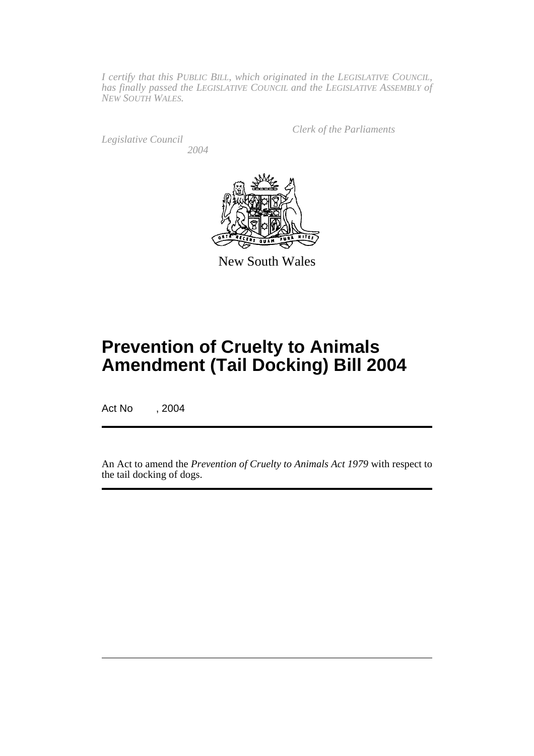*I certify that this PUBLIC BILL, which originated in the LEGISLATIVE COUNCIL, has finally passed the LEGISLATIVE COUNCIL and the LEGISLATIVE ASSEMBLY of NEW SOUTH WALES.*

*Legislative Council 2004* *Clerk of the Parliaments*



New South Wales

## **Prevention of Cruelty to Animals Amendment (Tail Docking) Bill 2004**

Act No , 2004

An Act to amend the *Prevention of Cruelty to Animals Act 1979* with respect to the tail docking of dogs.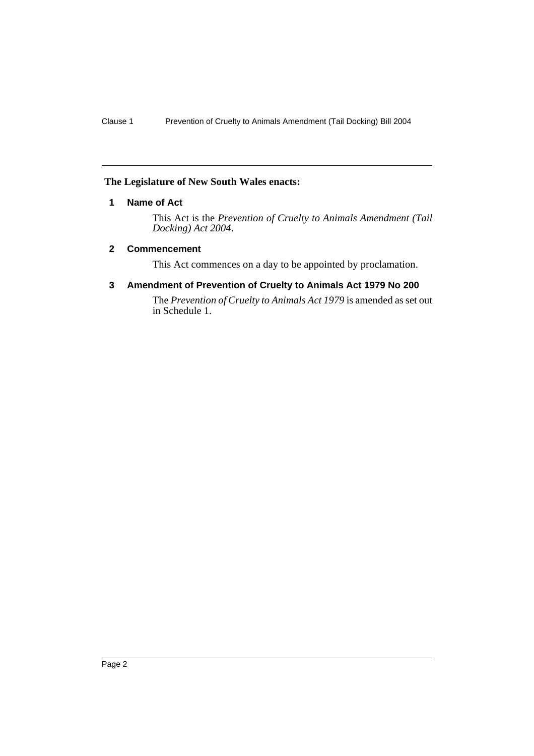#### **The Legislature of New South Wales enacts:**

#### **1 Name of Act**

This Act is the *Prevention of Cruelty to Animals Amendment (Tail Docking) Act 2004*.

#### **2 Commencement**

This Act commences on a day to be appointed by proclamation.

#### **3 Amendment of Prevention of Cruelty to Animals Act 1979 No 200**

The *Prevention of Cruelty to Animals Act 1979* is amended as set out in Schedule 1.